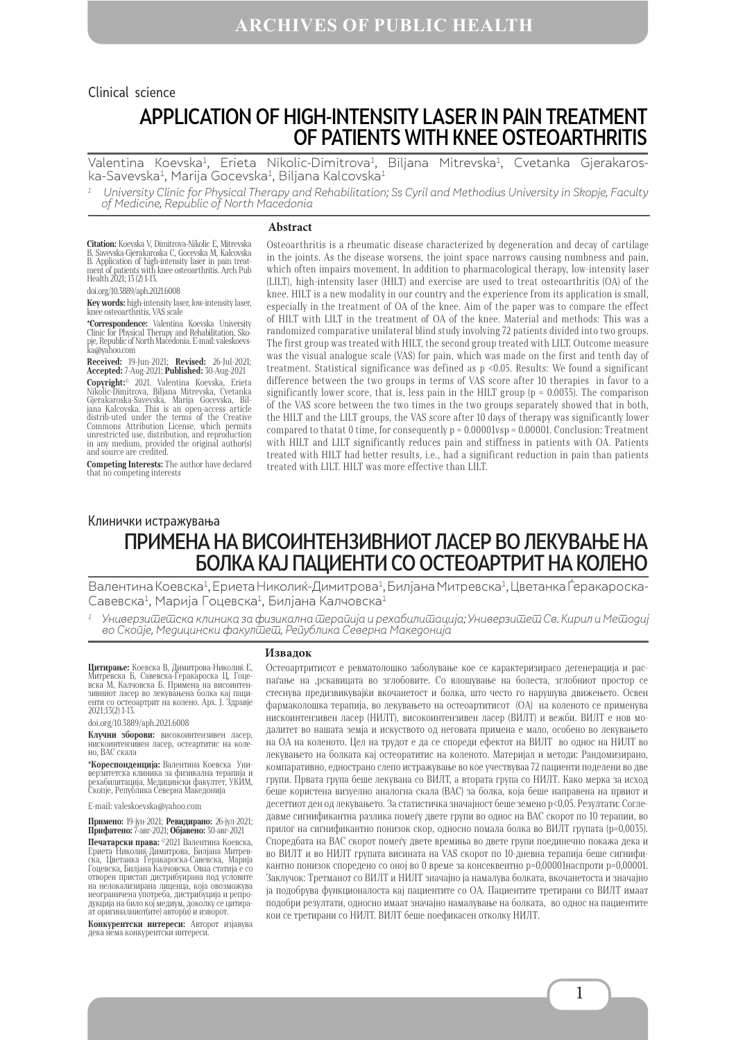# APPLICATION OF HIGH-INTENSITY LASER IN PAIN TREATMENT OF PATIENTS WITH KNEE OSTEOARTHRITIS Clinical science

Valentina Koevska<sup>1</sup>, Erieta Nikolic-Dimitrova<sup>1</sup>, Biljana Mitrevska<sup>1</sup>, Cvetanka Gjerakaroska-Savevska<sup>1</sup>, Marija Gocevska<sup>1</sup>, Biljana Kalcovska<sup>1</sup>

1 University Clinic for Physical Therapy and Rehabilitation; Ss Cyril and Methodius University in Skopje, Faculty of Medicine, Republic of North Macedonia

#### **Abstract**

**Citation:** Koevska V, Dimitrova-Nikolic E, Mitrevska B, Savevska-Gjerakaroska C, Gocevska M, Kalcovska B. Application of high-intensity laser in pain treat- ment of patients with knee osteoarthritis. Arch Pub Health 2021; 13 (2) 1-13.

doi.org/10.3889/aph.2021.6008

**Key words:** high-intensity laser, low-intensity laser, knee osteoarthritis, VAS scale<br>\***Correspondence:** Valentina Koevska University

**\*Correspondence:** Valentina Koevska University Clinic for Physical Therapy and Rehabilitation, Sko- pje, Republic of North Macedonia. Е-mail: valeskoevs- ka@yahoo.com

**Received:** 19-Jun-2021; **Revised:** 26-Jul-2021; **Accepted:** 7-Aug-2021; **Published:** 30-Aug-2021 **Copyright:©** 2021. Valentina Koevska, Erieta<br>Nikolic-Dimitrova, Biljana Mitrevska, Cvetanka<br>Gjerakaroska-Savevska, Marija Gocevska, Biljana Kalcovska. This is an open-access article distrib-uted under the terms of the Creative Commons Attribution License, which permits unrestricted use, distribution, and reproduction in any medium, provided the original author(s) and source are credited.

**Competing Interests:** The author have declared that no competing interests

Osteoarthritis is a rheumatic disease characterized by degeneration and decay of cartilage in the joints. As the disease worsens, the joint space narrows causing numbness and pain, which often impairs movement. In addition to pharmacological therapy, low-intensity laser (LILT), high-intensity laser (HILT) and exercise are used to treat osteoarthritis (OA) of the knee. HILT is a new modality in our country and the experience from its application is small, especially in the treatment of OA of the knee. Aim of the paper was to compare the effect of HILT with LILT in the treatment of OA of the knee. Material and methods: This was a randomized comparative unilateral blind study involving 72 patients divided into two groups. The first group was treated with HILT, the second group treated with LILT. Outcome measure was the visual analogue scale (VAS) for pain, which was made on the first and tenth day of treatment. Statistical significance was defined as  $p \le 0.05$ . Results: We found a significant difference between the two groups in terms of VAS score after 10 therapies in favor to a significantly lower score, that is, less pain in the HILT group ( $p = 0.0035$ ). The comparison of the VAS score between the two times in the two groups separately showed that in both, the HILT and the LILT groups, the VAS score after 10 days of therapy was significantly lower compared to thatat 0 time, for consequently  $p = 0.00001$  vsp = 0.00001. Conclusion: Treatment with HILT and LILT significantly reduces pain and stiffness in patients with OA. Patients treated with HILT had better results, i.e., had a significant reduction in pain than patients treated with LILT. HILT was more effective than LILT.

# ПРИМЕНА НА ВИСОИНТЕНЗИВНИОТ ЛАСЕР ВО ЛЕКУВАЊЕ НА БОЛКА КАЈ ПАЦИЕНТИ СО ОСТЕОАРТРИТ НА КОЛЕНО Клинички истражувања

Валентина Коевска<sup>1</sup>, Ериета Николиќ-Димитрова<sup>1</sup>, Билјана Митревска<sup>1</sup>, Цветанка Ѓеракароска-Савевска1, Марија Гоцевска1, Билјана Калчовска1

Универзишешска клиника за физикална шерайија и рехабилишација; Универзишеш Св. Кирил и Мешодиј во Скопје, Медицински факул $\bar{u}$ еш, Република Северна Македонија

**Цитирање:** Коевска В, Димитрова-Николиќ Е,<br>Митревска Б, Савевска-Ѓеракароска Ц, Гоце-<br>вска М, Калчовска Б. Примена на висоинтен-<br>зивниот ласер во лекувањена болка кај пациенти со остеоартрит на колено. Арх. Ј. Здравје 2021;13(2) 1-13.

doi.org/10.3889/aph.2021.6008

**Клучни зборови:** високоинтензивен ласер, нискоинтензивен ласер, остеартитис на коле-но, ВАС скала

**\*Кореспонденција:** Валентина Коевска Уни- верзитетска клиника за физикална терапија и рехабилитација, Медицински факултет, УКИМ, Скопје, Република Северна Македонија

E-mail: valeskoevska@yahoo.com

**Примено:** 19-јун-2021; **Ревидирано:** 26-јул-2021; **Прифатено:** 7-авг-2021; **Објавено:** 30-авг-2021

**Печатарски права:** ©2021 Валентина Коевска, Ериета Николиќ-Димитрова, Билјана Митрев-ска, Цветанка Ѓеракароска-Савевска, Марија Гоцевска, Билјана Калчовска. Оваа статија е со отворен пристап дистрибуирана под условите на нелокализирана лиценца, која овозможува неограничена употреба, дистрибуција и репродукција на било кој медиум, доколку се цитира- ат оригиналниот(ите) автор(и) и изворот.

**Конкурентски интереси:** Авторот изјавува дека нема конкурентски интереси.

#### **Извадок**

Остеоартритисот е ревматолошко заболување кое се карактеризирасо дегенерација и распаѓање на 'рскавицата во зглобовите. Со влошување на болеста, зглобниот простор се стеснува предизвикувајќи вкочанетост и болка, што често го нарушува движењето. Освен фармаколошка терапија, во лекувањето на остеоартитисот (ОА) на коленото се применува нискоинтензивен ласер (НИЛТ), високоинтензивен ласер (ВИЛТ) и вежби. ВИЛТ е нов модалитет во нашата земја и искуството од неговата примена е мало, особено во лекувањето на ОА на коленото. Цел на трудот е да се спореди ефектот на ВИЛТ во однос на НИЛТ во лекувањето на болката кај остеоратитис на коленото. Материјал и методи: Рандомизирано, компаративно, еднострано слепо истражување во кое учествуваа 72 пациенти поделени во две групи. Првата група беше лекувана со ВИЛT, а втората група со НИЛТ. Како мерка за исход беше користена визуелно аналогна скала (ВАС) за болка, која беше направена на првиот и десеттиот ден од лекувањето. За статистичка значајност беше земено р<0,05. Резултати: Согледавме сигнификантна разлика помеѓу двете групи во однос на ВАС скорот по 10 терапии, во прилог на сигнификантно понизок скор, односно помала болка во ВИЛT групата (p=0,0035). Споредбата на ВАС скорот помеѓу двете времиња во двете групи поединечно покажа дека и во ВИЛТ и во НИЛТ групата висината на VAS скорот по 10-дневна терапија беше сигнификантно понизок споредено со оној во 0 време за консеквентно p=0,00001наспроти p=0,00001. Заклучок: Третманот со ВИЛТ и НИЛТ значајно ја намалува болката, вкочанетоста и значајно ја подобрува функционалоста кај пациентите со ОА. Пациентите третирани со ВИЛТ имаат подобри резултати, односно имаат значајно намалување на болката, во однос на пациентите кои се третирани со НИЛT. ВИЛТ беше поефикасен отколку НИЛТ.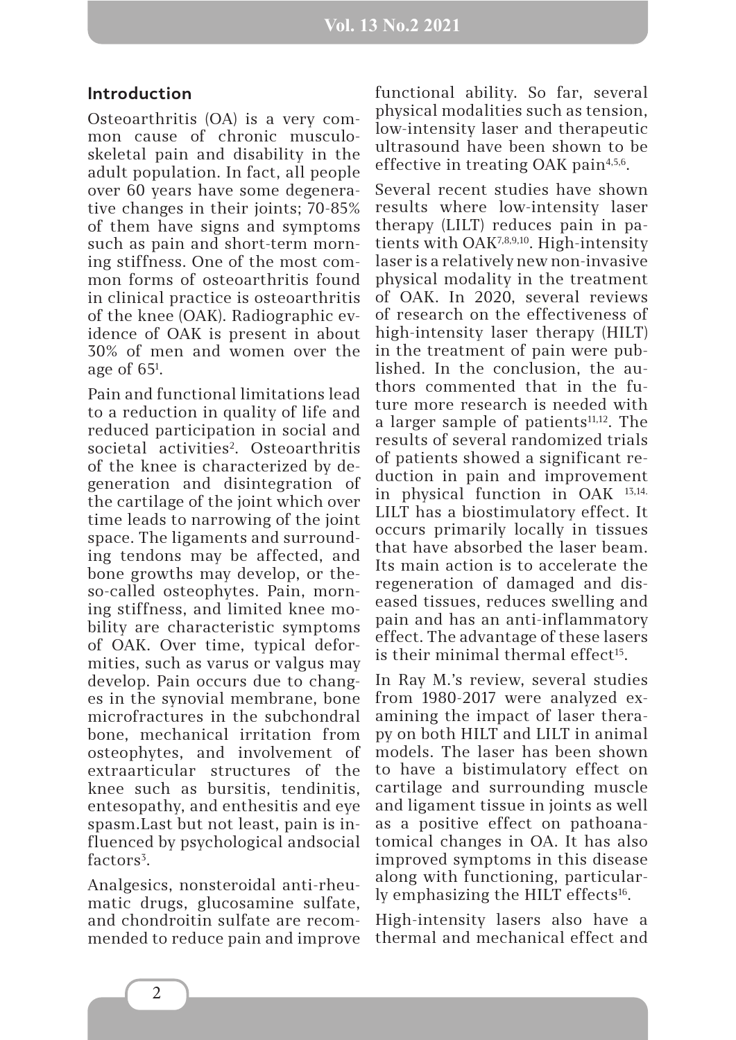## **Introduction**

Osteoarthritis (OA) is a very common cause of chronic musculoskeletal pain and disability in the adult population. In fact, all people over 60 years have some degenerative changes in their joints; 70-85% of them have signs and symptoms such as pain and short-term morning stiffness. One of the most common forms of osteoarthritis found in clinical practice is osteoarthritis of the knee (OAK). Radiographic evidence of OAK is present in about 30% of men and women over the age of 651 .

Pain and functional limitations lead to a reduction in quality of life and reduced participation in social and societal activities<sup>2</sup>. Osteoarthritis of the knee is characterized by degeneration and disintegration of the cartilage of the joint which over time leads to narrowing of the joint space. The ligaments and surrounding tendons may be affected, and bone growths may develop, or theso-called osteophytes. Pain, morning stiffness, and limited knee mobility are characteristic symptoms of OAK. Over time, typical deformities, such as varus or valgus may develop. Pain occurs due to changes in the synovial membrane, bone microfractures in the subchondral bone, mechanical irritation from osteophytes, and involvement of extraarticular structures of the knee such as bursitis, tendinitis, entesopathy, and enthesitis and eye spasm.Last but not least, pain is influenced by psychological andsocial factors<sup>3</sup>.

Analgesics, nonsteroidal anti-rheumatic drugs, glucosamine sulfate, and chondroitin sulfate are recommended to reduce pain and improve

functional ability. So far, several physical modalities such as tension, low-intensity laser and therapeutic ultrasound have been shown to be effective in treating OAK pain<sup>4,5,6</sup>.

Several recent studies have shown results where low-intensity laser therapy (LILT) reduces pain in patients with OAK7,8,9,10. High-intensity laser is a relatively new non-invasive physical modality in the treatment of OAK. In 2020, several reviews of research on the effectiveness of high-intensity laser therapy (HILT) in the treatment of pain were published. In the conclusion, the authors commented that in the future more research is needed with a larger sample of patients<sup>11,12</sup>. The results of several randomized trials of patients showed a significant reduction in pain and improvement in physical function in OAK 13,14. LILT has a biostimulatory effect. It occurs primarily locally in tissues that have absorbed the laser beam. Its main action is to accelerate the regeneration of damaged and diseased tissues, reduces swelling and pain and has an anti-inflammatory effect. The advantage of these lasers is their minimal thermal effect<sup>15</sup>.

In Ray M.'s review, several studies from 1980-2017 were analyzed examining the impact of laser therapy on both HILT and LILT in animal models. The laser has been shown to have a bistimulatory effect on cartilage and surrounding muscle and ligament tissue in joints as well as a positive effect on pathoanatomical changes in OA. It has also improved symptoms in this disease along with functioning, particularly emphasizing the HILT effects<sup>16</sup>.

High-intensity lasers also have a thermal and mechanical effect and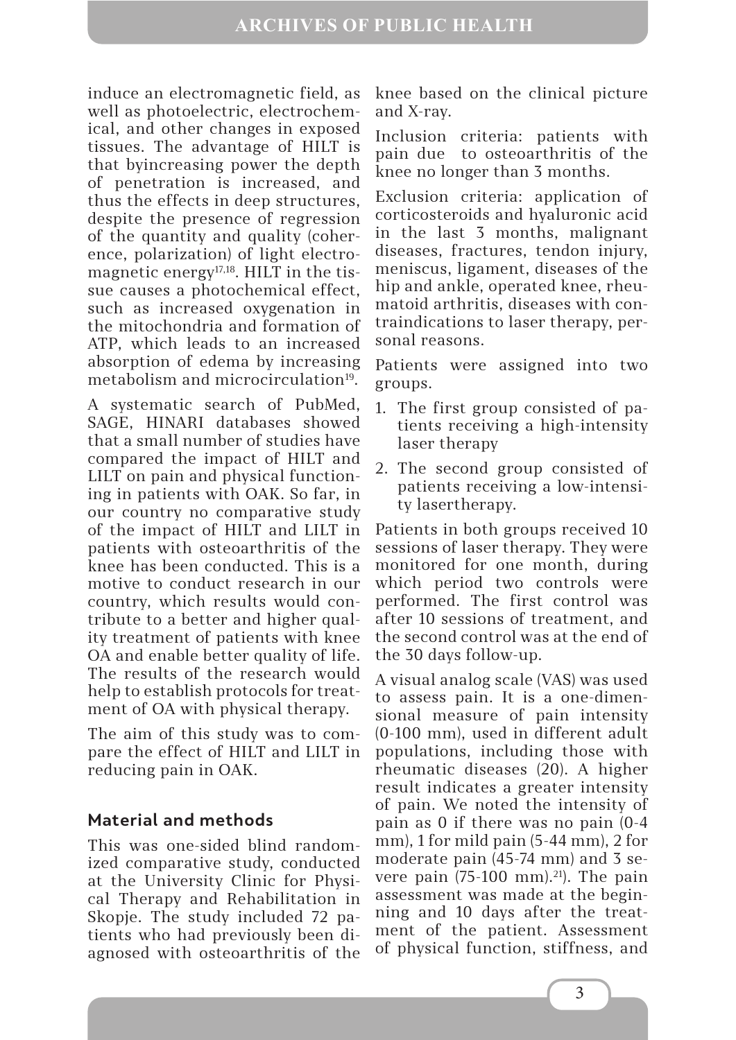induce an electromagnetic field, as well as photoelectric, electrochemical, and other changes in exposed tissues. The advantage of HILT is that byincreasing power the depth of penetration is increased, and thus the effects in deep structures, despite the presence of regression of the quantity and quality (coherence, polarization) of light electromagnetic energy<sup>17,18</sup>. HILT in the tissue causes a photochemical effect, such as increased oxygenation in the mitochondria and formation of ATP, which leads to an increased absorption of edema by increasing metabolism and microcirculation<sup>19</sup>.

A systematic search of PubMed, SAGE, HINARI databases showed that a small number of studies have compared the impact of HILT and LILT on pain and physical functioning in patients with OAK. So far, in our country no comparative study of the impact of HILT and LILT in patients with osteoarthritis of the knee has been conducted. This is a motive to conduct research in our country, which results would contribute to a better and higher quality treatment of patients with knee OA and enable better quality of life. The results of the research would help to establish protocols for treatment of OA with physical therapy.

The aim of this study was to compare the effect of HILT and LILT in reducing pain in OAK.

# **Material and methods**

This was one-sided blind randomized comparative study, conducted at the University Clinic for Physical Therapy and Rehabilitation in Skopje. The study included 72 patients who had previously been diagnosed with osteoarthritis of the

knee based on the clinical picture and X-ray.

Inclusion criteria: patients with pain due to osteoarthritis of the knee no longer than 3 months.

Exclusion criteria: application of corticosteroids and hyaluronic acid in the last 3 months, malignant diseases, fractures, tendon injury, meniscus, ligament, diseases of the hip and ankle, operated knee, rheumatoid arthritis, diseases with contraindications to laser therapy, personal reasons.

Patients were assigned into two groups.

- 1. The first group consisted of patients receiving a high-intensity laser therapy
- 2. The second group consisted of patients receiving a low-intensity lasertherapy.

Patients in both groups received 10 sessions of laser therapy. They were monitored for one month, during which period two controls were performed. The first control was after 10 sessions of treatment, and the second control was at the end of the 30 days follow-up.

A visual analog scale (VAS) was used to assess pain. It is a one-dimensional measure of pain intensity (0-100 mm), used in different adult populations, including those with rheumatic diseases (20). A higher result indicates a greater intensity of pain. We noted the intensity of pain as 0 if there was no pain (0-4 mm), 1 for mild pain (5-44 mm), 2 for moderate pain (45-74 mm) and 3 severe pain  $(75-100 \text{ mm})$ .<sup>21</sup>). The pain assessment was made at the beginning and 10 days after the treatment of the patient. Assessment of physical function, stiffness, and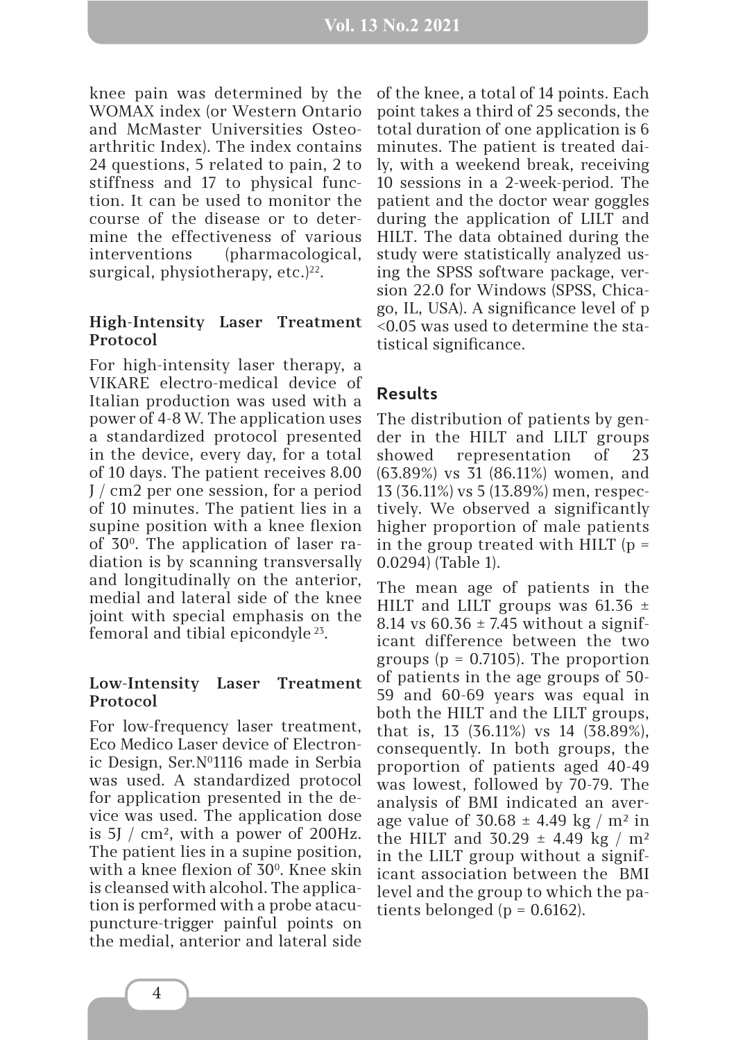knee pain was determined by the WOMAX index (or Western Ontario and McMaster Universities Osteoarthritic Index). The index contains 24 questions, 5 related to pain, 2 to stiffness and 17 to physical function. It can be used to monitor the course of the disease or to determine the effectiveness of various interventions (pharmacological, surgical, physiotherapy, etc. $)^{22}$ .

### **High-Intensity Laser Treatment Protocol**

For high-intensity laser therapy, a VIKARE electro-medical device of Italian production was used with a power of 4-8 W. The application uses a standardized protocol presented in the device, every day, for a total of 10 days. The patient receives 8.00 J / cm2 per one session, for a period of 10 minutes. The patient lies in a supine position with a knee flexion of 300. The application of laser radiation is by scanning transversally and longitudinally on the anterior, medial and lateral side of the knee joint with special emphasis on the femoral and tibial epicondyle 23.

### **Low-Intensity Laser Treatment Protocol**

For low-frequency laser treatment, Eco Medico Laser device of Electronic Design, Ser. N<sup>0</sup>1116 made in Serbia was used. A standardized protocol for application presented in the device was used. The application dose is  $5J / cm^2$ , with a power of 200Hz. The patient lies in a supine position, with a knee flexion of 30<sup>0</sup>. Knee skin is cleansed with alcohol. The application is performed with a probe atacupuncture-trigger painful points on the medial, anterior and lateral side

of the knee, a total of 14 points. Each point takes a third of 25 seconds, the total duration of one application is 6 minutes. The patient is treated daily, with a weekend break, receiving 10 sessions in a 2-week-period. The patient and the doctor wear goggles during the application of LILT and HILT. The data obtained during the study were statistically analyzed using the SPSS software package, version 22.0 for Windows (SPSS, Chicago, IL, USA). A significance level of p <0.05 was used to determine the statistical significance.

## **Results**

The distribution of patients by gender in the HILT and LILT groups showed representation of 23 (63.89%) vs 31 (86.11%) women, and 13 (36.11%) vs 5 (13.89%) men, respectively. We observed a significantly higher proportion of male patients in the group treated with HILT  $(p =$ 0.0294) (Table 1).

The mean age of patients in the HILT and LILT groups was  $61.36 \pm$ 8.14 vs  $60.36 \pm 7.45$  without a significant difference between the two groups ( $p = 0.7105$ ). The proportion of patients in the age groups of 50- 59 and 60-69 years was equal in both the HILT and the LILT groups, that is, 13 (36.11%) vs 14 (38.89%), consequently. In both groups, the proportion of patients aged 40-49 was lowest, followed by 70-79. The analysis of BMI indicated an average value of  $30.68 \pm 4.49$  kg / m<sup>2</sup> in the HILT and  $30.29 \pm 4.49$  kg / m<sup>2</sup> in the LILT group without a significant association between the BMI level and the group to which the patients belonged ( $p = 0.6162$ ).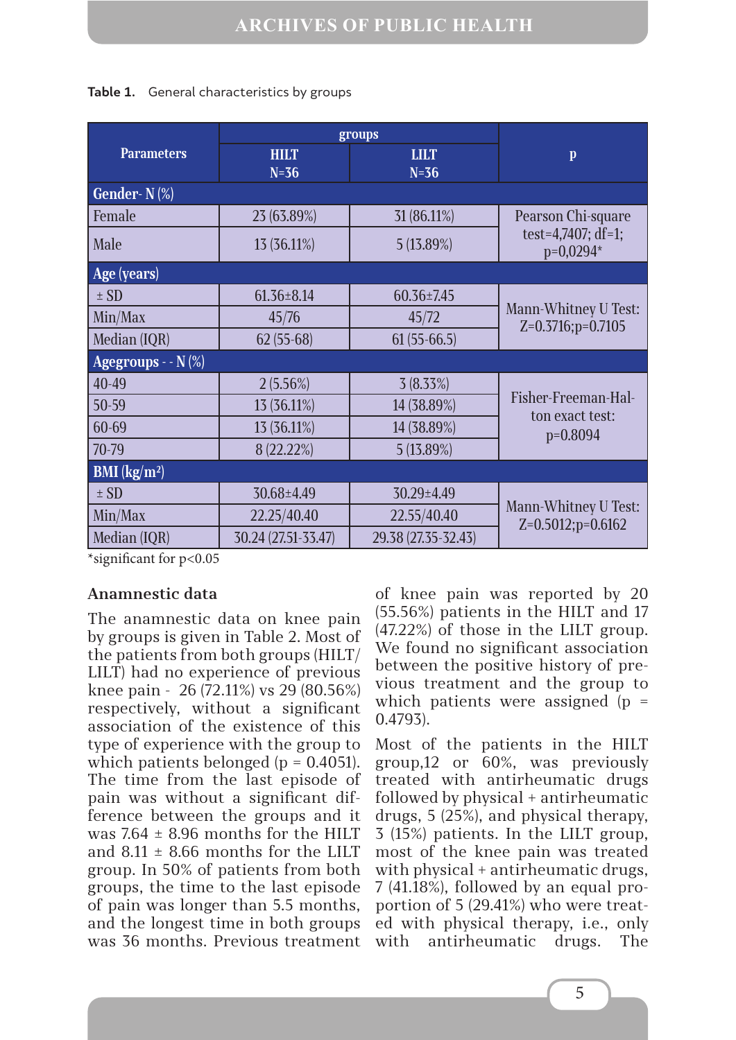|                                | groups                |                       |                                                            |  |
|--------------------------------|-----------------------|-----------------------|------------------------------------------------------------|--|
| <b>Parameters</b>              | <b>HILT</b><br>$N=36$ | <b>LILT</b><br>$N=36$ | $\mathbf{p}$                                               |  |
| Gender- $N(\%)$                |                       |                       |                                                            |  |
| Female                         | 23 (63.89%)           | 31 (86.11%)           | Pearson Chi-square<br>test=4,7407; $df=1$ ;<br>$p=0,0294*$ |  |
| Male                           | 13 (36.11%)           | 5 (13.89%)            |                                                            |  |
| Age (years)                    |                       |                       |                                                            |  |
| $\pm$ SD                       | $61.36 \pm 8.14$      | $60.36 \pm 7.45$      | Mann-Whitney U Test:<br>$Z=0.3716$ ; $p=0.7105$            |  |
| Min/Max                        | 45/76                 | 45/72                 |                                                            |  |
| Median (IQR)                   | $62(55-68)$           | $61(55-66.5)$         |                                                            |  |
| Agegroups - $-N(\%)$           |                       |                       |                                                            |  |
| 40-49                          | $2(5.56\%)$           | 3(8.33%)              | Fisher-Freeman-Hal-<br>ton exact test:<br>$p=0.8094$       |  |
| 50-59                          | 13 (36.11%)           | 14 (38.89%)           |                                                            |  |
| 60-69                          | 13 (36.11%)           | 14 (38.89%)           |                                                            |  |
| 70-79                          | 8 (22.22%)            | $5(13.89\%)$          |                                                            |  |
| <b>BMI</b> ( $\text{kg/m}^2$ ) |                       |                       |                                                            |  |
| $\pm$ SD                       | $30.68 \pm 4.49$      | 30.29±4.49            | Mann-Whitney U Test:<br>$Z=0.5012$ ; p=0.6162              |  |
| Min/Max                        | 22.25/40.40           | 22.55/40.40           |                                                            |  |
| Median (IQR)                   | 30.24 (27.51-33.47)   | 29.38 (27.35-32.43)   |                                                            |  |

#### **Table 1.** General characteristics by groups

\*significant for p<0.05

## **Anamnestic data**

The anamnestic data on knee pain by groups is given in Table 2. Most of the patients from both groups (HILT/ LILT) had no experience of previous knee pain - 26 (72.11%) vs 29 (80.56%) respectively, without a significant association of the existence of this type of experience with the group to which patients belonged ( $p = 0.4051$ ). The time from the last episode of pain was without a significant difference between the groups and it was  $7.64 \pm 8.96$  months for the HILT and  $8.11 \pm 8.66$  months for the LILT group. In 50% of patients from both groups, the time to the last episode of pain was longer than 5.5 months, and the longest time in both groups was 36 months. Previous treatment of knee pain was reported by 20 (55.56%) patients in the HILT and 17 (47.22%) of those in the LILT group. We found no significant association between the positive history of previous treatment and the group to which patients were assigned  $(p =$ 0.4793).

Most of the patients in the HILT group,12 or 60%, was previously treated with antirheumatic drugs followed by physical + antirheumatic drugs, 5 (25%), and physical therapy, 3 (15%) patients. In the LILT group, most of the knee pain was treated with physical + antirheumatic drugs, 7 (41.18%), followed by an equal proportion of 5 (29.41%) who were treated with physical therapy, i.e., only with antirheumatic drugs. The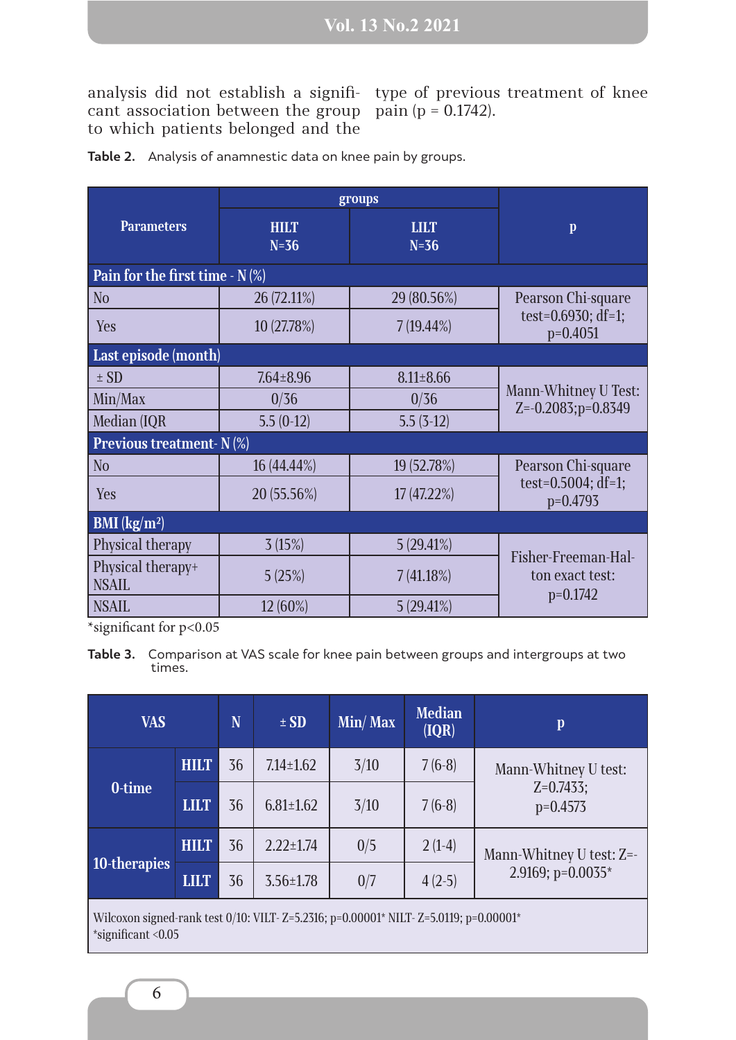analysis did not establish a significant association between the group to which patients belonged and the

type of previous treatment of knee pain (p = 0.1742).

|                                   | groups                |                       |                                                            |  |  |  |  |  |  |
|-----------------------------------|-----------------------|-----------------------|------------------------------------------------------------|--|--|--|--|--|--|
| <b>Parameters</b>                 | <b>HILT</b><br>$N=36$ | <b>LILT</b><br>$N=36$ | $\mathbf{p}$                                               |  |  |  |  |  |  |
| Pain for the first time - $N$ (%) |                       |                       |                                                            |  |  |  |  |  |  |
| N <sub>o</sub>                    | 26 (72.11%)           | 29 (80.56%)           | Pearson Chi-square<br>test= $0.6930$ ; df=1;<br>$p=0.4051$ |  |  |  |  |  |  |
| Yes                               | 10 (27.78%)           | $7(19.44\%)$          |                                                            |  |  |  |  |  |  |
| Last episode (month)              |                       |                       |                                                            |  |  |  |  |  |  |
| $\pm$ SD                          | $7.64 \pm 8.96$       | $8.11 \pm 8.66$       |                                                            |  |  |  |  |  |  |
| Min/Max                           | 0/36                  | 0/36                  | Mann-Whitney U Test:<br>$Z = -0.2083$ ; $p = 0.8349$       |  |  |  |  |  |  |
| Median (IQR                       | $5.5(0-12)$           | $5.5(3-12)$           |                                                            |  |  |  |  |  |  |
| Previous treatment-N (%)          |                       |                       |                                                            |  |  |  |  |  |  |
| N <sub>o</sub>                    | 16 (44.44%)           | 19 (52.78%)           | Pearson Chi-square<br>test=0.5004; df=1;<br>$p=0.4793$     |  |  |  |  |  |  |
| Yes                               | 20 (55.56%)           | 17 (47.22%)           |                                                            |  |  |  |  |  |  |
| <b>BMI</b> ( $\text{kg/m}^2$ )    |                       |                       |                                                            |  |  |  |  |  |  |
| Physical therapy                  | 3(15%)                | 5(29.41%)             | Fisher-Freeman-Hal-<br>ton exact test:<br>$p=0.1742$       |  |  |  |  |  |  |
| Physical therapy+<br><b>NSAIL</b> | 5(25%)                | 7(41.18%)             |                                                            |  |  |  |  |  |  |
| <b>NSAIL</b>                      | $12(60\%)$            | 5(29.41%)             |                                                            |  |  |  |  |  |  |

**Table 2.** Analysis of anamnestic data on knee pain by groups.

\*significant for p<0.05

**Table 3.** Comparison at VAS scale for knee pain between groups and intergroups at two times.

| <b>VAS</b>                                                                                                        |             | N  | $\pm SD$        | Min/Max | <b>Median</b><br>( IQR) | $\mathbf{p}$                                       |
|-------------------------------------------------------------------------------------------------------------------|-------------|----|-----------------|---------|-------------------------|----------------------------------------------------|
|                                                                                                                   | <b>HILT</b> | 36 | $7.14 \pm 1.62$ | 3/10    | $7(6-8)$                | Mann-Whitney U test:<br>$Z=0.7433$ ;<br>$p=0.4573$ |
| 0-time                                                                                                            | <b>LILT</b> | 36 | $6.81 \pm 1.62$ | 3/10    | $7(6-8)$                |                                                    |
| 10-therapies                                                                                                      | <b>HILT</b> | 36 | $2.22 \pm 1.74$ | 0/5     | $2(1-4)$                | Mann-Whitney U test: Z=-<br>2.9169; $p=0.0035*$    |
|                                                                                                                   | <b>LILT</b> | 36 | $3.56 \pm 1.78$ | 0/7     | $4(2-5)$                |                                                    |
| Wilcoxon signed-rank test 0/10: VILT- Z=5.2316; p=0.00001* NILT- Z=5.0119; p=0.00001*<br>$*$ significant < $0.05$ |             |    |                 |         |                         |                                                    |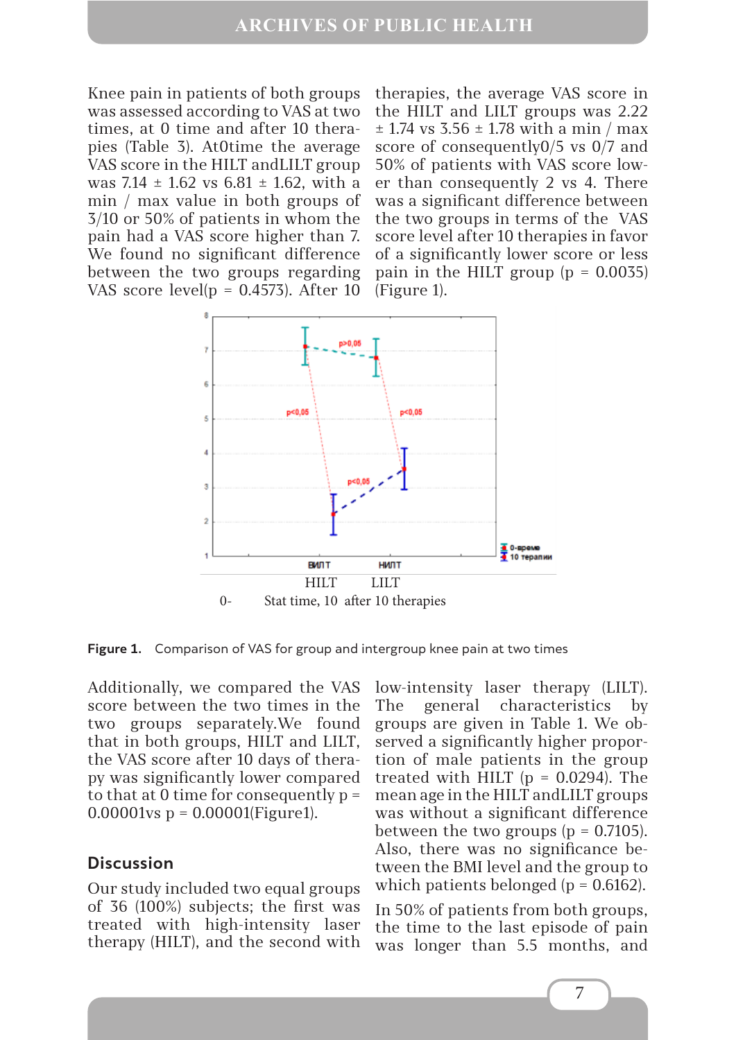Knee pain in patients of both groups was assessed according to VAS at two times, at 0 time and after 10 therapies (Table 3). At0time the average VAS score in the HILT andLILT group was 7.14  $\pm$  1.62 vs 6.81  $\pm$  1.62, with a min / max value in both groups of 3/10 or 50% of patients in whom the pain had a VAS score higher than 7. We found no significant difference between the two groups regarding VAS score level( $p = 0.4573$ ). After 10

therapies, the average VAS score in the HILT and LILT groups was 2.22  $\pm$  1.74 vs 3.56  $\pm$  1.78 with a min / max score of consequently0/5 vs 0/7 and 50% of patients with VAS score lower than consequently 2 vs 4. There was a significant difference between the two groups in terms of the VAS score level after 10 therapies in favor of a significantly lower score or less pain in the HILT group  $(p = 0.0035)$ (Figure 1).



**Figure 1.** Comparison of VAS for group and intergroup knee pain at two times

Additionally, we compared the VAS score between the two times in the two groups separately.We found that in both groups, HILT and LILT, the VAS score after 10 days of therapy was significantly lower compared to that at 0 time for consequently  $p =$  $0.00001$  vs  $p = 0.00001$  (Figure 1).

## **Discussion**

Our study included two equal groups of 36 (100%) subjects; the first was treated with high-intensity laser therapy (HILT), and the second with low-intensity laser therapy (LILT). The general characteristics by groups are given in Table 1. We observed a significantly higher proportion of male patients in the group treated with HILT  $(p = 0.0294)$ . The mean age in the HILT andLILT groups was without a significant difference between the two groups  $(p = 0.7105)$ . Also, there was no significance between the BMI level and the group to which patients belonged ( $p = 0.6162$ ).

In 50% of patients from both groups, the time to the last episode of pain was longer than 5.5 months, and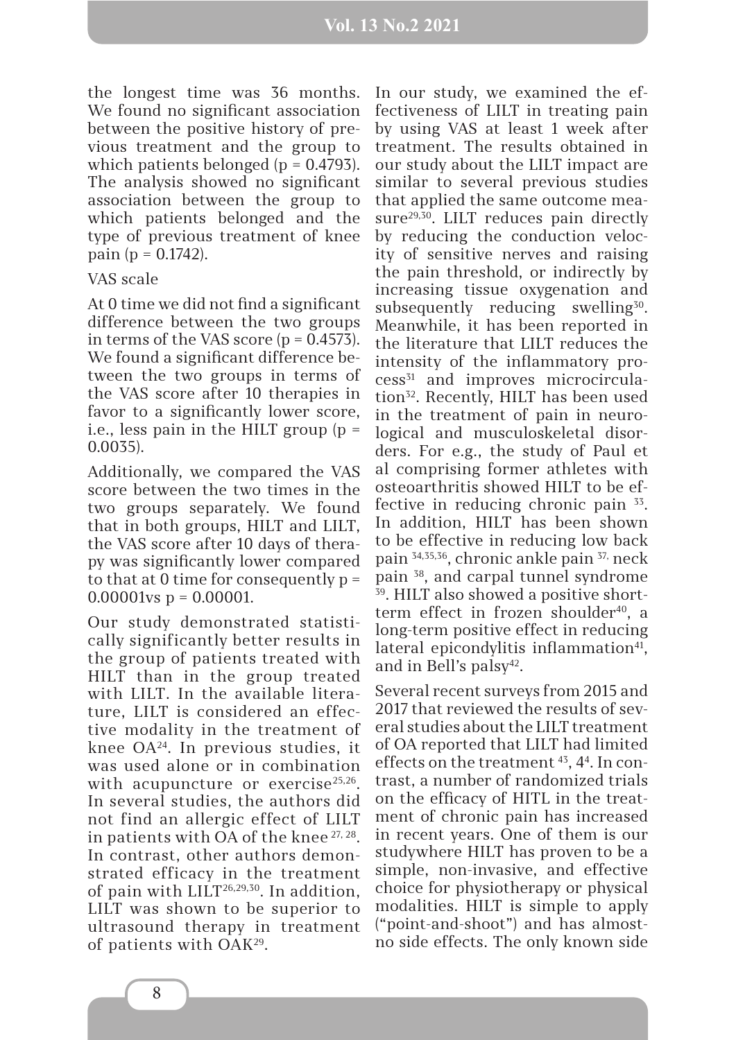the longest time was 36 months. We found no significant association between the positive history of previous treatment and the group to which patients belonged ( $p = 0.4793$ ). The analysis showed no significant association between the group to which patients belonged and the type of previous treatment of knee pain ( $p = 0.1742$ ).

#### VAS scale

At 0 time we did not find a significant difference between the two groups in terms of the VAS score  $(p = 0.4573)$ . We found a significant difference between the two groups in terms of the VAS score after 10 therapies in favor to a significantly lower score, i.e., less pain in the HILT group  $(p =$ 0.0035).

Additionally, we compared the VAS score between the two times in the two groups separately. We found that in both groups, HILT and LILT, the VAS score after 10 days of therapy was significantly lower compared to that at 0 time for consequently  $p =$  $0.00001$ vs p = 0.00001.

Our study demonstrated statistically significantly better results in the group of patients treated with HILT than in the group treated with LILT. In the available literature, LILT is considered an effective modality in the treatment of knee OA24. In previous studies, it was used alone or in combination with acupuncture or exercise<sup>25,26</sup>. In several studies, the authors did not find an allergic effect of LILT in patients with OA of the knee 27, 28. In contrast, other authors demonstrated efficacy in the treatment of pain with  $LILT<sup>26,29,30</sup>$ . In addition, LILT was shown to be superior to ultrasound therapy in treatment of patients with OAK29.

In our study, we examined the effectiveness of LILT in treating pain by using VAS at least 1 week after treatment. The results obtained in our study about the LILT impact are similar to several previous studies that applied the same outcome measure<sup>29,30</sup>. LILT reduces pain directly by reducing the conduction velocity of sensitive nerves and raising the pain threshold, or indirectly by increasing tissue oxygenation and subsequently reducing swelling<sup>30</sup>. Meanwhile, it has been reported in the literature that LILT reduces the intensity of the inflammatory process31 and improves microcirculation<sup>32</sup>. Recently, HILT has been used in the treatment of pain in neurological and musculoskeletal disorders. For e.g., the study of Paul et al comprising former athletes with osteoarthritis showed HILT to be effective in reducing chronic pain  $33$ . In addition, HILT has been shown to be effective in reducing low back pain 34,35,36, chronic ankle pain 37, neck pain 38, and carpal tunnel syndrome 39. HILT also showed a positive shortterm effect in frozen shoulder<sup>40</sup>, a long-term positive effect in reducing lateral epicondylitis inflammation<sup>41</sup>, and in Bell's palsy<sup>42</sup>.

Several recent surveys from 2015 and 2017 that reviewed the results of several studies about the LILT treatment of OA reported that LILT had limited effects on the treatment 43, 44 . In contrast, a number of randomized trials on the efficacy of HITL in the treatment of chronic pain has increased in recent years. One of them is our studywhere HILT has proven to be a simple, non-invasive, and effective choice for physiotherapy or physical modalities. HILT is simple to apply ("point-and-shoot") and has almostno side effects. The only known side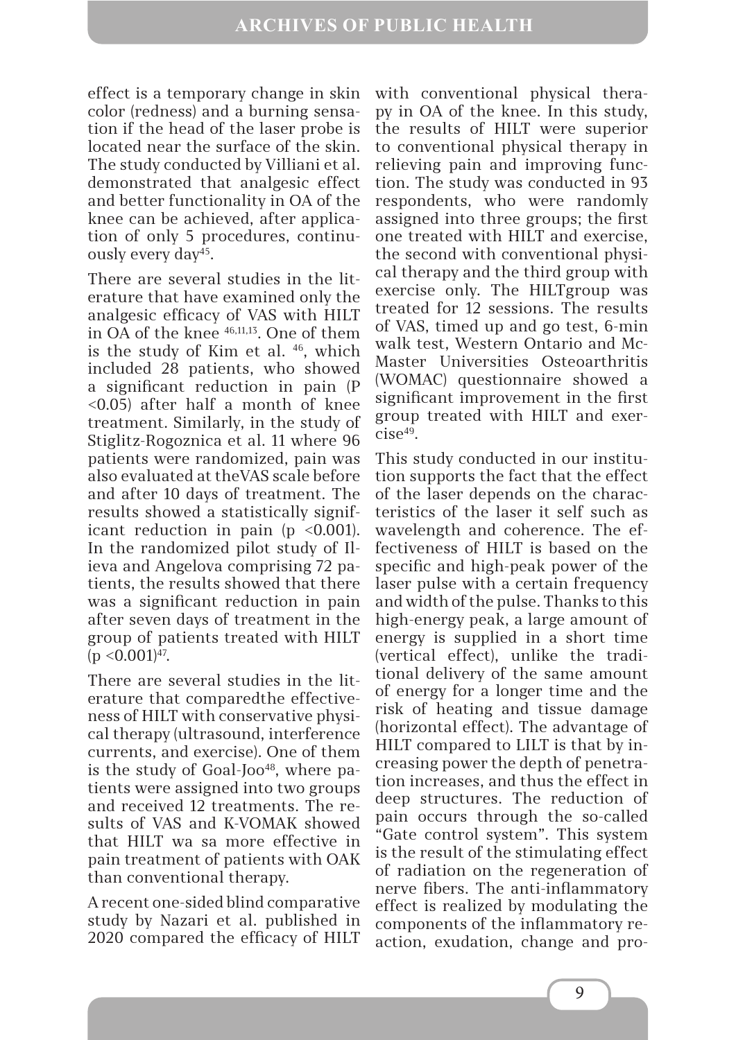effect is a temporary change in skin color (redness) and a burning sensation if the head of the laser probe is located near the surface of the skin. The study conducted by Villiani et al. demonstrated that analgesic effect and better functionality in OA of the knee can be achieved, after application of only 5 procedures, continuously every day45.

There are several studies in the literature that have examined only the analgesic efficacy of VAS with HILT in OA of the knee 46,11,13. One of them is the study of Kim et al. <sup>46</sup>, which included 28 patients, who showed a significant reduction in pain (P <0.05) after half a month of knee treatment. Similarly, in the study of Stiglitz-Rogoznica et al. 11 where 96 patients were randomized, pain was also evaluated at theVAS scale before and after 10 days of treatment. The results showed a statistically significant reduction in pain  $(p \le 0.001)$ . In the randomized pilot study of Ilieva and Angelova comprising 72 patients, the results showed that there was a significant reduction in pain after seven days of treatment in the group of patients treated with HILT  $(p < 0.001)^{47}$ .

There are several studies in the literature that comparedthe effectiveness of HILT with conservative physical therapy (ultrasound, interference currents, and exercise). One of them is the study of Goal-Joo<sup>48</sup>, where patients were assigned into two groups and received 12 treatments. The results of VAS and K-VOMAK showed that HILT wa sa more effective in pain treatment of patients with OAK than conventional therapy.

A recent one-sided blind comparative study by Nazari et al. published in 2020 compared the efficacy of HILT

with conventional physical therapy in OA of the knee. In this study, the results of HILT were superior to conventional physical therapy in relieving pain and improving function. The study was conducted in 93 respondents, who were randomly assigned into three groups; the first one treated with HILT and exercise, the second with conventional physical therapy and the third group with exercise only. The HILTgroup was treated for 12 sessions. The results of VAS, timed up and go test, 6-min walk test, Western Ontario and Mc-Master Universities Osteoarthritis (WOMAC) questionnaire showed a significant improvement in the first group treated with HILT and exer $cise^{49}$ .

This study conducted in our institution supports the fact that the effect of the laser depends on the characteristics of the laser it self such as wavelength and coherence. The effectiveness of HILT is based on the specific and high-peak power of the laser pulse with a certain frequency and width of the pulse. Thanks to this high-energy peak, a large amount of energy is supplied in a short time (vertical effect), unlike the traditional delivery of the same amount of energy for a longer time and the risk of heating and tissue damage (horizontal effect). The advantage of HILT compared to LILT is that by increasing power the depth of penetration increases, and thus the effect in deep structures. The reduction of pain occurs through the so-called "Gate control system". This system is the result of the stimulating effect of radiation on the regeneration of nerve fibers. The anti-inflammatory effect is realized by modulating the components of the inflammatory reaction, exudation, change and pro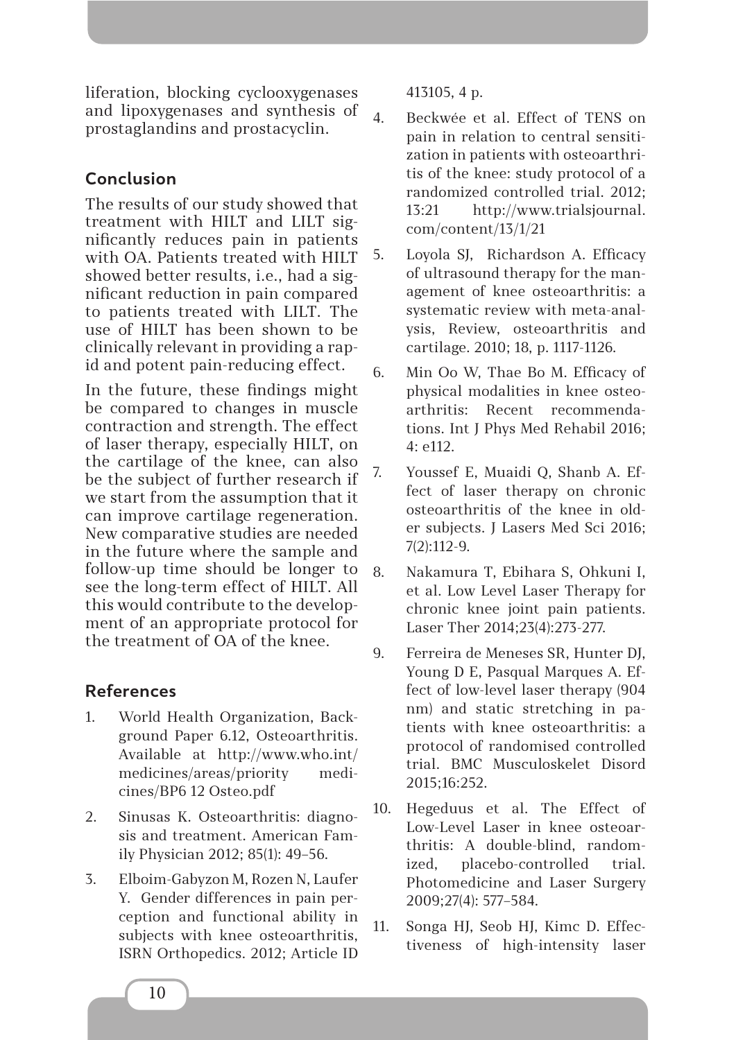liferation, blocking cyclooxygenases and lipoxygenases and synthesis of prostaglandins and prostacyclin.

# **Conclusion**

The results of our study showed that treatment with HILT and LILT significantly reduces pain in patients with OA. Patients treated with HILT showed better results, i.e., had a significant reduction in pain compared to patients treated with LILT. The use of HILT has been shown to be clinically relevant in providing a rapid and potent pain-reducing effect.

In the future, these findings might be compared to changes in muscle contraction and strength. The effect of laser therapy, especially HILT, on the cartilage of the knee, can also be the subject of further research if we start from the assumption that it can improve cartilage regeneration. New comparative studies are needed in the future where the sample and follow-up time should be longer to see the long-term effect of HILT. All this would contribute to the development of an appropriate protocol for the treatment of OA of the knee.

# **References**

- 1. World Health Organization, Background Paper 6.12, Osteoarthritis. Available at http://www.who.int/ medicines/areas/priority medicines/BP6 12 Osteo.pdf
- 2. Sinusas K. Osteoarthritis: diagnosis and treatment. American Family Physician 2012; 85(1): 49–56.
- 3. Elboim-Gabyzon M, Rozen N, Laufer Y. Gender differences in pain perception and functional ability in subjects with knee osteoarthritis, ISRN Orthopedics. 2012; Article ID

413105, 4 p.

- 4. Beckwée et al. Effect of TENS on pain in relation to central sensitization in patients with osteoarthritis of the knee: study protocol of a randomized controlled trial. 2012; 13:21 http://www.trialsjournal. com/content/13/1/21
- 5. Loyola SJ, Richardson А. Efficacy of ultrasound therapy for the management of knee osteoarthritis: a systematic review with meta-analysis, Review, osteoarthritis and cartilage. 2010; 18, p. 1117-1126.
- 6. Min Oo W, Thae Bo M. Efficacy of physical modalities in knee osteoarthritis: Recent recommendations. Int J Phys Med Rehabil 2016; 4: e112.
- 7. Youssef E, Muaidi Q, Shanb A. Effect of laser therapy on chronic osteoarthritis of the knee in older subjects. J Lasers Med Sci 2016; 7(2):112-9.
- 8. Nakamura T, Ebihara S, Ohkuni I, et al. Low Level Laser Therapy for chronic knee joint pain patients. Laser Ther 2014;23(4):273-277.
- 9. Ferreira de Meneses SR, Hunter DJ, Young D E, Pasqual Marques A. Effect of low-level laser therapy (904 nm) and static stretching in patients with knee osteoarthritis: a protocol of randomised controlled trial. BMC Musculoskelet Disord 2015;16:252.
- 10. Hegeduus et al. The Effect of Low-Level Laser in knee osteoarthritis: A double-blind, randomized, placebo-controlled trial. Photomedicine and Laser Surgery 2009;27(4): 577–584.
- 11. Songa HJ, Seob HJ, Kimc D. Effectiveness of high-intensity laser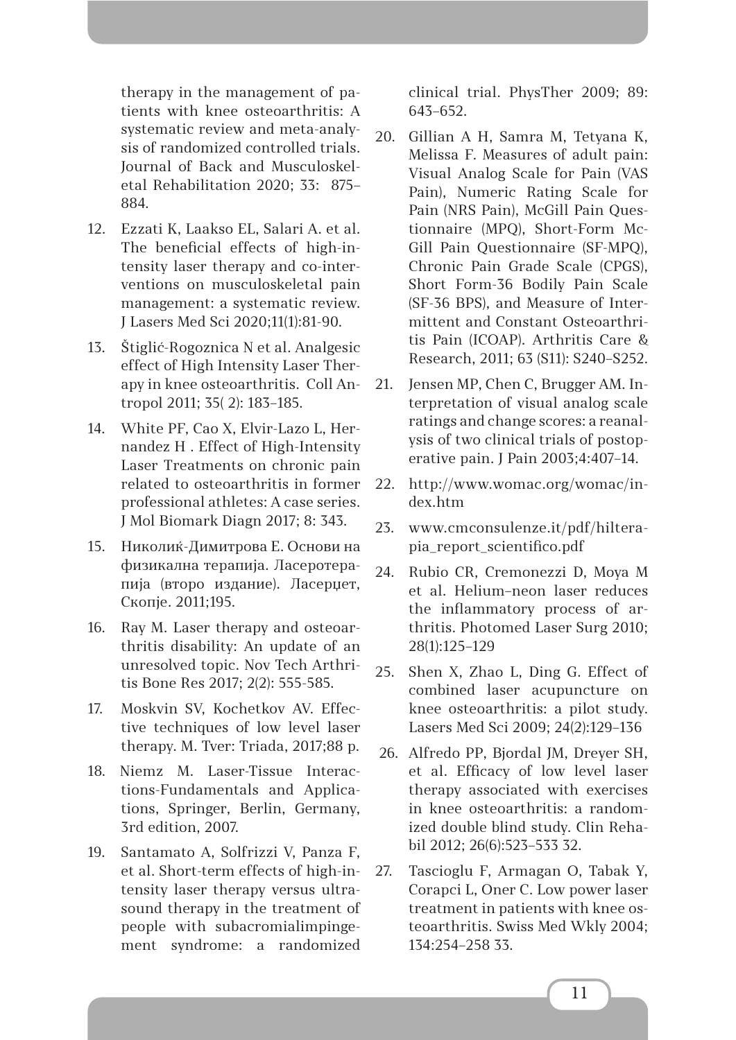therapy in the management of patients with knee osteoarthritis: A systematic review and meta-analysis of randomized controlled trials. Journal of Back and Musculoskeletal Rehabilitation 2020; 33: 875– 884.

- 12. Ezzati K, Laakso EL, Salari A. et al. The beneficial effects of high-intensity laser therapy and co-interventions on musculoskeletal pain management: a systematic review. J Lasers Med Sci 2020;11(1):81-90.
- 13. Štiglić-Rogoznica N et al. Analgesic effect of High Intensity Laser Therapy in knee osteoarthritis. Coll Antropol 2011; 35( 2): 183–185.
- 14. White PF, Cao X, Elvir-Lazo L, Hernandez H . Effect of High-Intensity Laser Treatments on chronic pain related to osteoarthritis in former professional athletes: A case series. J Mol Biomark Diagn 2017; 8: 343.
- 15. Николиќ-Димитрова Е. Основи на физикална терапија. Ласеротерапија (второ издание). Ласерџет, Скопје. 2011;195.
- 16. Ray M. Laser therapy and osteoarthritis disability: An update of an unresolved topic. Nov Tech Arthritis Bone Res 2017; 2(2): 555-585.
- 17. Moskvin SV, Kochetkov AV. Effective techniques of low level laser therapy. M. Tver: Triada, 2017;88 p.
- 18. Niemz M. Laser-Tissue Interactions-Fundamentals and Applications, Springer, Berlin, Germany, 3rd edition, 2007.
- 19. Santamato A, Solfrizzi V, Panza F, et al. Short-term effects of high-intensity laser therapy versus ultrasound therapy in the treatment of people with subacromialimpingement syndrome: a randomized

clinical trial. PhysTher 2009; 89: 643–652.

- 20. Gillian A H, Samra M, Tetyana K, Melissa F. Measures of adult pain: Visual Analog Scale for Pain (VAS Pain), Numeric Rating Scale for Pain (NRS Pain), McGill Pain Questionnaire (MPQ), Short-Form Mc-Gill Pain Questionnaire (SF-MPQ), Chronic Pain Grade Scale (CPGS), Short Form-36 Bodily Pain Scale (SF-36 BPS), and Measure of Intermittent and Constant Osteoarthritis Pain (ICOAP). Arthritis Care & Research, 2011; 63 (S11): S240–S252.
- 21. Jensen MP, Chen C, Brugger AM. Interpretation of visual analog scale ratings and change scores: a reanalysis of two clinical trials of postoperative pain. J Pain 2003;4:407–14.
- 22. http://www.womac.org/womac/index.htm
- 23. www.cmconsulenze.it/pdf/hilterapia\_report\_scientifico.pdf
- 24. Rubio CR, Cremonezzi D, Moya M et al. Helium–neon laser reduces the inflammatory process of arthritis. Photomed Laser Surg 2010; 28(1):125–129
- 25. Shen X, Zhao L, Ding G. Effect of combined laser acupuncture on knee osteoarthritis: a pilot study. Lasers Med Sci 2009; 24(2):129–136
- 26. Alfredo PP, Bjordal JM, Dreyer SH, еt al. Efficacy of low level laser therapy associated with exercises in knee osteoarthritis: a randomized double blind study. Clin Rehabil 2012; 26(6):523–533 32.
- 27. Tascioglu F, Armagan O, Tabak Y, Corapci L, Oner C. Low power laser treatment in patients with knee osteoarthritis. Swiss Med Wkly 2004; 134:254–258 33.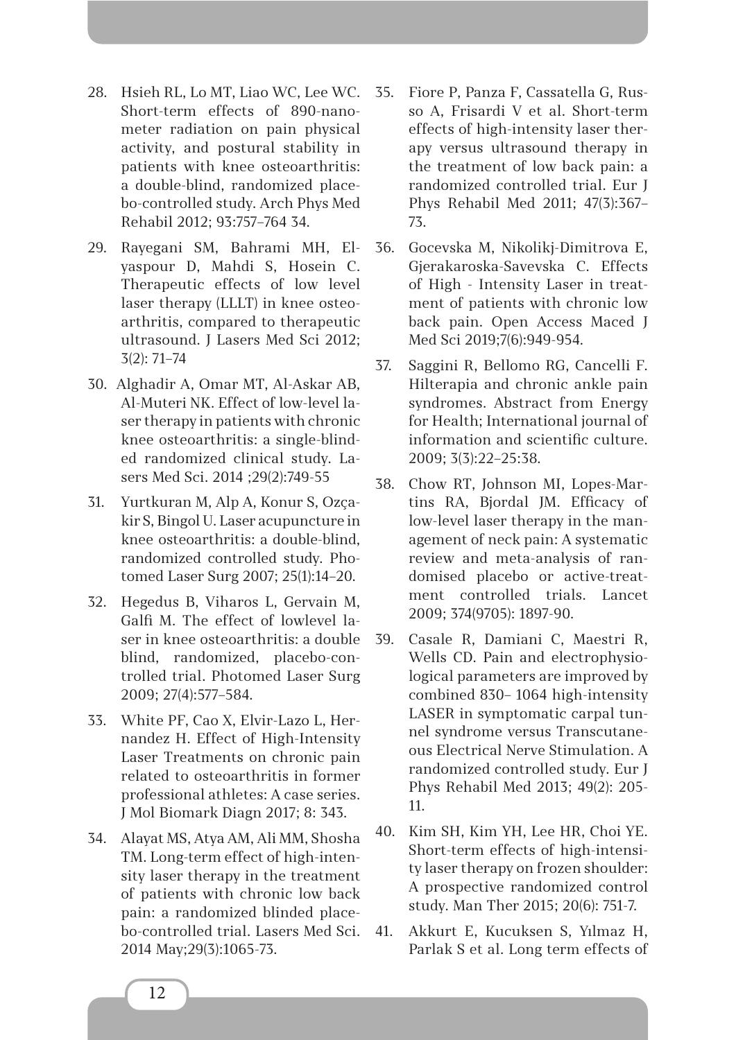- 28. Hsieh RL, Lo MT, Liao WC, Lee WC. Short-term effects of 890-nanometer radiation on pain physical activity, and postural stability in patients with knee osteoarthritis: a double-blind, randomized placebo-controlled study. Arch Phys Med Rehabil 2012; 93:757–764 34.
- 29. Rayegani SM, Bahrami MH, Elyaspour D, Mahdi S, Hosein С. Therapeutic effects of low level laser therapy (LLLT) in knee osteoarthritis, compared to therapeutic ultrasound. J Lasers Med Sci 2012; 3(2): 71–74
- 30. Alghadir A, Omar MT, Al-Askar AB, Al-Muteri NK. Effect of low-level laser therapy in patients with chronic knee osteoarthritis: a single-blinded randomized clinical study. Lasers Med Sci. 2014 ;29(2):749-55
- 31. Yurtkuran M, Alp A, Konur S, Ozçakir S, Bingol U. Laser acupuncture in knee osteoarthritis: a double-blind, randomized controlled study. Photomed Laser Surg 2007; 25(1):14–20.
- 32. Hegedus B, Viharos L, Gervain M, Galfi M. The effect of lowlevel laser in knee osteoarthritis: a double blind, randomized, placebo-controlled trial. Photomed Laser Surg 2009; 27(4):577–584.
- 33. White PF, Cao X, Elvir-Lazo L, Hernandez H. Effect of High-Intensity Laser Treatments on chronic pain related to osteoarthritis in former professional athletes: A case series. J Mol Biomark Diagn 2017; 8: 343.
- 34. Alayat MS, Atya AM, Ali MM, Shosha TM. Long-term effect of high-intensity laser therapy in the treatment of patients with chronic low back pain: a randomized blinded placebo-controlled trial. Lasers Med Sci. 2014 May;29(3):1065-73.
- 35. Fiore P, Panza F, Cassatella G, Russo A, Frisardi V et al. Short-term effects of high-intensity laser therapy versus ultrasound therapy in the treatment of low back pain: a randomized controlled trial. Eur J Phys Rehabil Med 2011; 47(3):367– 73.
- 36. Gocevska M, Nikolikj-Dimitrova E, Gjerakaroska-Savevska C. Effects of High - Intensity Laser in treatment of patients with chronic low back pain. Open Access Maced J Med Sci 2019;7(6):949-954.
- 37. Saggini R, Bellomo RG, Cancelli F. Hilterapia and chronic ankle pain syndromes. Abstract from Energy for Health; International journal of information and scientific culture. 2009; 3(3):22–25:38.
- 38. Chow RT, Johnson MI, Lopes-Martins RA, Bjordal JM. Efficacy of low-level laser therapy in the management of neck pain: A systematic review and meta-analysis of randomised placebo or active-treatment controlled trials. Lancet 2009; 374(9705): 1897-90.
- 39. Casale R, Damiani C, Maestri R, Wells CD. Pain and electrophysiological parameters are improved by combined 830– 1064 high-intensity LASER in symptomatic carpal tunnel syndrome versus Transcutaneous Electrical Nerve Stimulation. A randomized controlled study. Eur J Phys Rehabil Med 2013; 49(2): 205- 11.
- 40. Kim SH, Kim YH, Lee HR, Choi YE. Short-term effects of high-intensity laser therapy on frozen shoulder: A prospective randomized control study. Man Ther 2015; 20(6): 751-7.
- 41. Akkurt E, Kucuksen S, Yılmaz H, Parlak S et al. Long term effects of